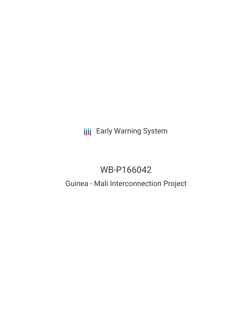## **III** Early Warning System

# WB-P166042

### Guinea - Mali Interconnection Project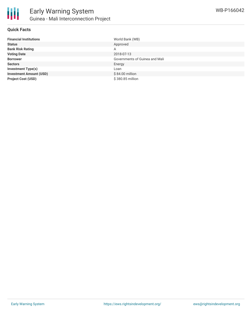

#### **Quick Facts**

| <b>Financial Institutions</b>  | World Bank (WB)                |
|--------------------------------|--------------------------------|
| <b>Status</b>                  | Approved                       |
| <b>Bank Risk Rating</b>        | Α                              |
| <b>Voting Date</b>             | 2018-07-13                     |
| <b>Borrower</b>                | Governments of Guinea and Mali |
| <b>Sectors</b>                 | Energy                         |
| <b>Investment Type(s)</b>      | Loan                           |
| <b>Investment Amount (USD)</b> | \$84.00 million                |
| <b>Project Cost (USD)</b>      | \$380.85 million               |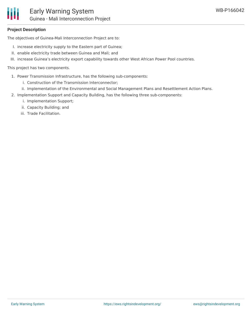#### **Project Description**

The objectives of Guinea-Mali Interconnection Project are to:

- I. increase electricity supply to the Eastern part of Guinea;
- II. enable electricity trade between Guinea and Mali; and
- III. increase Guinea's electricity export capability towards other West African Power Pool countries.

This project has two components.

- 1. Power Transmission Infrastructure, has the following sub-components:
	- i. Construction of the Transmission Interconnector;
	- ii. Implementation of the Environmental and Social Management Plans and Resettlement Action Plans.
- 2. Implementation Support and Capacity Building, has the following three sub-components:
	- i. Implementation Support;
	- ii. Capacity Building; and
	- iii. Trade Facilitation.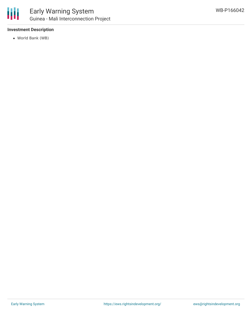

#### **Investment Description**

World Bank (WB)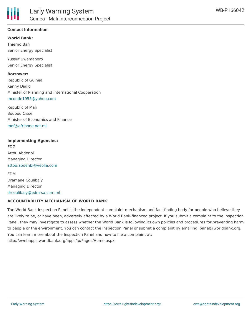

#### **Contact Information**

**World Bank:** Thierno Bah Senior Energy Specialist

Yussuf Uwamahoro Senior Energy Specialist

**Borrower:** Republic of Guinea Kanny Diallo Minister of Planning and International Cooperation [mconde1955@yahoo.com](mailto:mconde1955@yahoo.com)

Republic of Mali Boubou Cisse Minister of Economics and Finance [mef@afribone.net.ml](mailto:mef@afribone.net.ml)

#### **Implementing Agencies:**

EDG Attou Abdenbi Managing Director [attou.abdenbi@veolia.com](mailto:attou.abdenbi@veolia.com)

EDM Dramane Coulibaly Managing Director [drcoulibaly@edm-sa.com.ml](mailto:drcoulibaly@edm-sa.com.ml)

#### **ACCOUNTABILITY MECHANISM OF WORLD BANK**

The World Bank Inspection Panel is the independent complaint mechanism and fact-finding body for people who believe they are likely to be, or have been, adversely affected by a World Bank-financed project. If you submit a complaint to the Inspection Panel, they may investigate to assess whether the World Bank is following its own policies and procedures for preventing harm to people or the environment. You can contact the Inspection Panel or submit a complaint by emailing ipanel@worldbank.org. You can learn more about the Inspection Panel and how to file a complaint at: http://ewebapps.worldbank.org/apps/ip/Pages/Home.aspx.